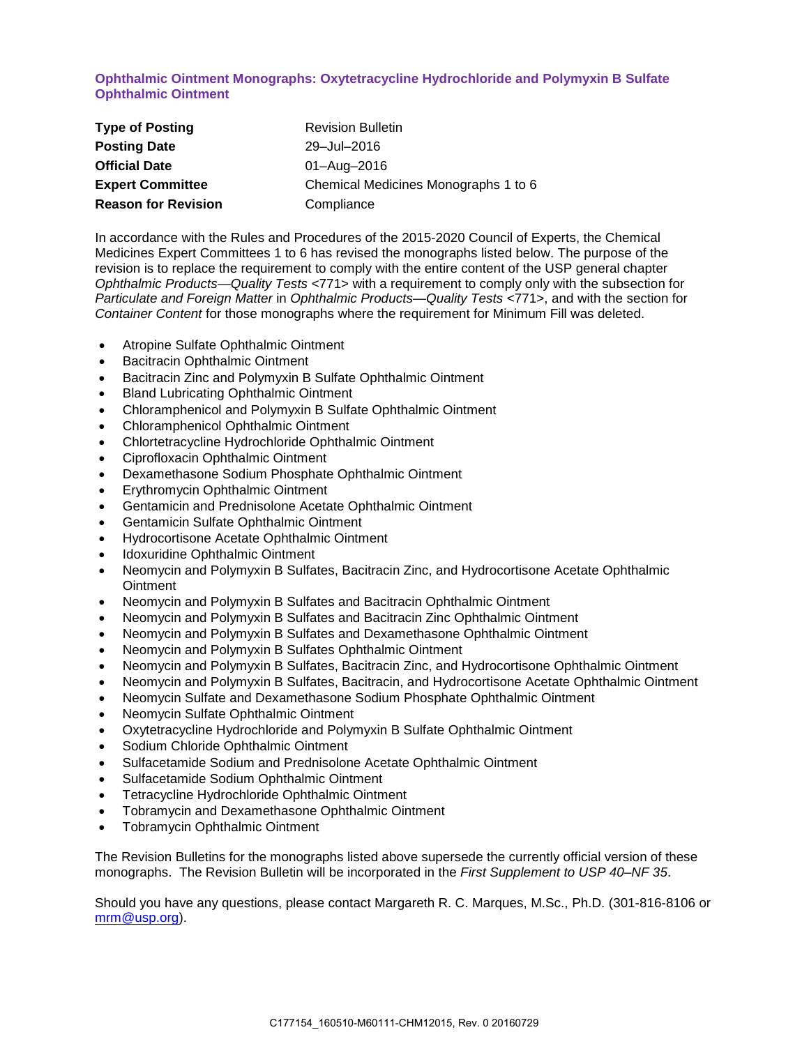## **Ophthalmic Ointment Monographs: Oxytetracycline Hydrochloride and Polymyxin B Sulfate Ophthalmic Ointment**

| <b>Type of Posting</b>     | <b>Revision Bulletin</b>             |
|----------------------------|--------------------------------------|
| <b>Posting Date</b>        | 29-Jul-2016                          |
| <b>Official Date</b>       | 01-Aug-2016                          |
| <b>Expert Committee</b>    | Chemical Medicines Monographs 1 to 6 |
| <b>Reason for Revision</b> | Compliance                           |

In accordance with the Rules and Procedures of the 2015-2020 Council of Experts, the Chemical Medicines Expert Committees 1 to 6 has revised the monographs listed below. The purpose of the revision is to replace the requirement to comply with the entire content of the USP general chapter *Ophthalmic Products—Quality Tests* <771> with a requirement to comply only with the subsection for *Particulate and Foreign Matter* in *Ophthalmic Products—Quality Tests* <771>, and with the section for *Container Content* for those monographs where the requirement for Minimum Fill was deleted.

- Atropine Sulfate Ophthalmic Ointment
- Bacitracin Ophthalmic Ointment
- Bacitracin Zinc and Polymyxin B Sulfate Ophthalmic Ointment
- Bland Lubricating Ophthalmic Ointment
- Chloramphenicol and Polymyxin B Sulfate Ophthalmic Ointment
- Chloramphenicol Ophthalmic Ointment
- Chlortetracycline Hydrochloride Ophthalmic Ointment
- Ciprofloxacin Ophthalmic Ointment
- Dexamethasone Sodium Phosphate Ophthalmic Ointment
- Erythromycin Ophthalmic Ointment
- Gentamicin and Prednisolone Acetate Ophthalmic Ointment
- Gentamicin Sulfate Ophthalmic Ointment
- Hydrocortisone Acetate Ophthalmic Ointment
- Idoxuridine Ophthalmic Ointment
- Neomycin and Polymyxin B Sulfates, Bacitracin Zinc, and Hydrocortisone Acetate Ophthalmic **Ointment**
- Neomycin and Polymyxin B Sulfates and Bacitracin Ophthalmic Ointment
- Neomycin and Polymyxin B Sulfates and Bacitracin Zinc Ophthalmic Ointment
- Neomycin and Polymyxin B Sulfates and Dexamethasone Ophthalmic Ointment
- Neomycin and Polymyxin B Sulfates Ophthalmic Ointment
- Neomycin and Polymyxin B Sulfates, Bacitracin Zinc, and Hydrocortisone Ophthalmic Ointment
- Neomycin and Polymyxin B Sulfates, Bacitracin, and Hydrocortisone Acetate Ophthalmic Ointment
- Neomycin Sulfate and Dexamethasone Sodium Phosphate Ophthalmic Ointment
- Neomycin Sulfate Ophthalmic Ointment
- Oxytetracycline Hydrochloride and Polymyxin B Sulfate Ophthalmic Ointment
- Sodium Chloride Ophthalmic Ointment
- Sulfacetamide Sodium and Prednisolone Acetate Ophthalmic Ointment
- Sulfacetamide Sodium Ophthalmic Ointment
- Tetracycline Hydrochloride Ophthalmic Ointment
- Tobramycin and Dexamethasone Ophthalmic Ointment
- Tobramycin Ophthalmic Ointment

The Revision Bulletins for the monographs listed above supersede the currently official version of these monographs. The Revision Bulletin will be incorporated in the *First Supplement to USP 40–NF 35*.

Should you have any questions, please contact Margareth R. C. Marques, M.Sc., Ph.D. (301-816-8106 or [mrm@usp.org\)](mailto:mrm@usp.org).